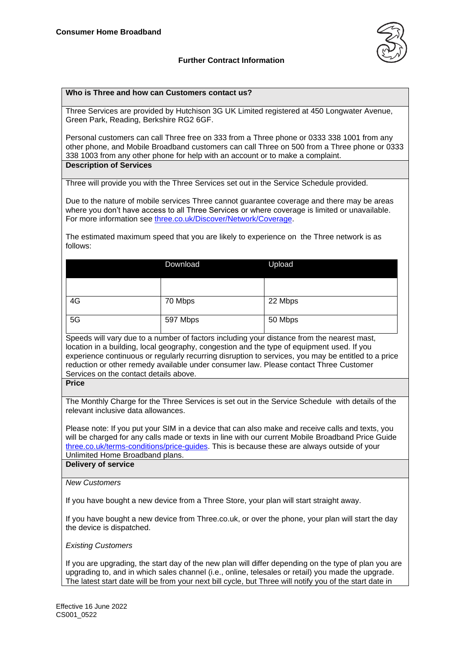

# **Further Contract Information**

#### **Who is Three and how can Customers contact us?**

Three Services are provided by Hutchison 3G UK Limited registered at 450 Longwater Avenue, Green Park, Reading, Berkshire RG2 6GF.

Personal customers can call Three free on 333 from a Three phone or 0333 338 1001 from any other phone, and Mobile Broadband customers can call Three on 500 from a Three phone or 0333 338 1003 from any other phone for help with an account or to make a complaint. **Description of Services**

Three will provide you with the Three Services set out in the Service Schedule provided.

Due to the nature of mobile services Three cannot guarantee coverage and there may be areas where you don't have access to all Three Services or where coverage is limited or unavailable. For more information see [three.co.uk/Discover/Network/Coverage.](http://www.three.co.uk/Discover/Network/Coverage)

The estimated maximum speed that you are likely to experience on the Three network is as follows:

|    | Download | Upload  |
|----|----------|---------|
|    |          |         |
| 4G | 70 Mbps  | 22 Mbps |
| 5G | 597 Mbps | 50 Mbps |

Speeds will vary due to a number of factors including your distance from the nearest mast, location in a building, local geography, congestion and the type of equipment used. If you experience continuous or regularly recurring disruption to services, you may be entitled to a price reduction or other remedy available under consumer law. Please contact Three Customer Services on the contact details above.

**Price**

The Monthly Charge for the Three Services is set out in the Service Schedule with details of the relevant inclusive data allowances.

Please note: If you put your SIM in a device that can also make and receive calls and texts, you will be charged for any calls made or texts in line with our current Mobile Broadband Price Guide [three.co.uk/terms-conditions/price-guides.](https://www.three.co.uk/terms-conditions/price-guides) This is because these are always outside of your Unlimited Home Broadband plans. **Delivery of service**

*New Customers*

If you have bought a new device from a Three Store, your plan will start straight away.

If you have bought a new device from Three.co.uk, or over the phone, your plan will start the day the device is dispatched.

*Existing Customers*

If you are upgrading, the start day of the new plan will differ depending on the type of plan you are upgrading to, and in which sales channel (i.e., online, telesales or retail) you made the upgrade. The latest start date will be from your next bill cycle, but Three will notify you of the start date in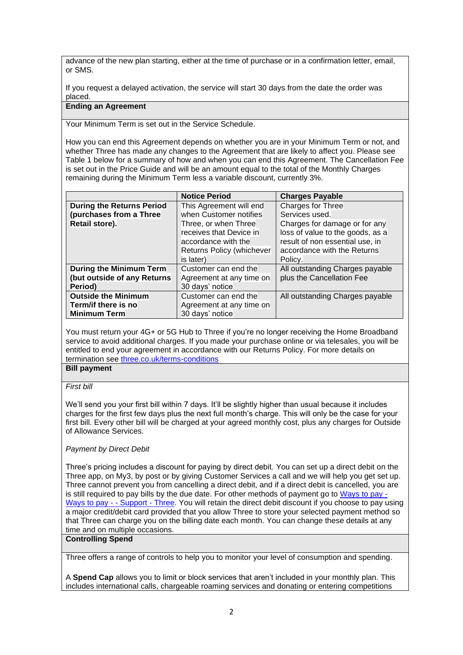advance of the new plan starting, either at the time of purchase or in a confirmation letter, email, or SMS.

If you request a delayed activation, the service will start 30 days from the date the order was placed.

# **Ending an Agreement**

Your Minimum Term is set out in the Service Schedule.

How you can end this Agreement depends on whether you are in your Minimum Term or not, and whether Three has made any changes to the Agreement that are likely to affect you. Please see Table 1 below for a summary of how and when you can end this Agreement. The Cancellation Fee is set out in the Price Guide and will be an amount equal to the total of the Monthly Charges remaining during the Minimum Term less a variable discount, currently 3%.

|                                  | <b>Notice Period</b>      | <b>Charges Payable</b>           |
|----------------------------------|---------------------------|----------------------------------|
| <b>During the Returns Period</b> | This Agreement will end   | <b>Charges for Three</b>         |
| (purchases from a Three          | when Customer notifies    | Services used.                   |
| Retail store).                   | Three, or when Three      | Charges for damage or for any    |
|                                  | receives that Device in   | loss of value to the goods, as a |
|                                  | accordance with the       | result of non essential use, in  |
|                                  | Returns Policy (whichever | accordance with the Returns      |
|                                  | is later)                 | Policy.                          |
| During the Minimum Term          | Customer can end the      | All outstanding Charges payable  |
| (but outside of any Returns      | Agreement at any time on  | plus the Cancellation Fee        |
| Period)                          | 30 days' notice           |                                  |
| <b>Outside the Minimum</b>       | Customer can end the      | All outstanding Charges payable  |
| Term/if there is no              | Agreement at any time on  |                                  |
| <b>Minimum Term</b>              | 30 days' notice           |                                  |

You must return your 4G+ or 5G Hub to Three if you're no longer receiving the Home Broadband service to avoid additional charges. If you made your purchase online or via telesales, you will be entitled to end your agreement in accordance with our Returns Policy. For more details on termination see [three.co.uk/terms-conditions](https://www.three.co.uk/terms-conditions)

**Bill payment**

# *First bill*

We'll send you your first bill within 7 days. It'll be slightly higher than usual because it includes charges for the first few days plus the next full month's charge. This will only be the case for your first bill. Every other bill will be charged at your agreed monthly cost, plus any charges for Outside of Allowance Services.

# *Payment by Direct Debit*

Three's pricing includes a discount for paying by direct debit. You can set up a direct debit on the Three app, on My3, by post or by giving Customer Services a call and we will help you get set up. Three cannot prevent you from cancelling a direct debit, and if a direct debit is cancelled, you are is still required to pay bills by the due date. For other methods of payment go to [Ways to pay -](http://support.three.co.uk/SRVS/CGI-BIN/WEBISAPI.DLL?Command=New,Kb=Mobile,Ts=Mobile,T=Article,varset_cat=billing,varset_subcat=3768,Case=obj(42318)) [Ways to pay -](http://support.three.co.uk/SRVS/CGI-BIN/WEBISAPI.DLL?Command=New,Kb=Mobile,Ts=Mobile,T=Article,varset_cat=billing,varset_subcat=3768,Case=obj(42318)) - Support - Three. You will retain the direct debit discount if you choose to pay using a major credit/debit card provided that you allow Three to store your selected payment method so that Three can charge you on the billing date each month. You can change these details at any time and on multiple occasions.

### **Controlling Spend**

Three offers a range of controls to help you to monitor your level of consumption and spending.

A **Spend Cap** allows you to limit or block services that aren't included in your monthly plan. This includes international calls, chargeable roaming services and donating or entering competitions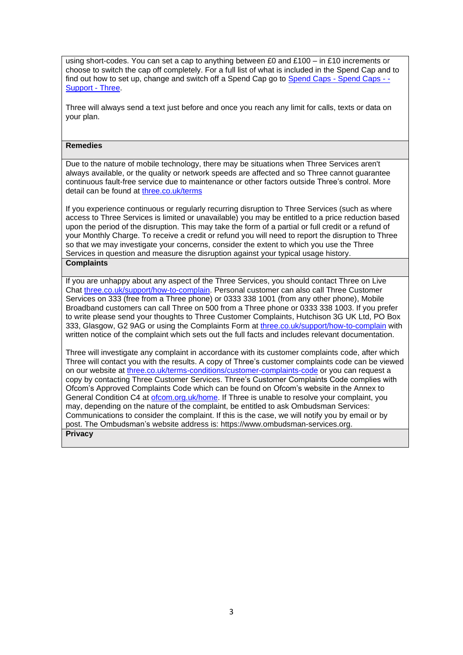using short-codes. You can set a cap to anything between £0 and £100 – in £10 increments or choose to switch the cap off completely. For a full list of what is included in the Spend Cap and to find out how to set up, change and switch off a Spend Cap go to [Spend Caps -](http://support.three.co.uk/SRVS/CGI-BIN/WEBISAPI.DLL?Command=New,Kb=Mobile,Ts=Mobile,T=Article,varset_cat=billing,varset_subcat=3770,Case=obj(31394)) Spend Caps - -[Support -](http://support.three.co.uk/SRVS/CGI-BIN/WEBISAPI.DLL?Command=New,Kb=Mobile,Ts=Mobile,T=Article,varset_cat=billing,varset_subcat=3770,Case=obj(31394)) Three.

Three will always send a text just before and once you reach any limit for calls, texts or data on your plan.

### **Remedies**

Due to the nature of mobile technology, there may be situations when Three Services aren't always available, or the quality or network speeds are affected and so Three cannot guarantee continuous fault-free service due to maintenance or other factors outside Three's control. More detail can be found at [three.co.uk/terms](http://www.three.co.uk/terms)

If you experience continuous or regularly recurring disruption to Three Services (such as where access to Three Services is limited or unavailable) you may be entitled to a price reduction based upon the period of the disruption. This may take the form of a partial or full credit or a refund of your Monthly Charge. To receive a credit or refund you will need to report the disruption to Three so that we may investigate your concerns, consider the extent to which you use the Three Services in question and measure the disruption against your typical usage history. **Complaints**

If you are unhappy about any aspect of the Three Services, you should contact Three on Live Chat [three.co.uk/support/how-to-complain.](http://www.three.co.uk/support/how-to-complain) Personal customer can also call Three Customer Services on 333 (free from a Three phone) or 0333 338 1001 (from any other phone), Mobile Broadband customers can call Three on 500 from a Three phone or 0333 338 1003. If you prefer to write please send your thoughts to Three Customer Complaints, Hutchison 3G UK Ltd, PO Box 333, Glasgow, G2 9AG or using the Complaints Form at [three.co.uk/support/how-to-complain](http://www.three.co.uk/support/how-to-complain) with written notice of the complaint which sets out the full facts and includes relevant documentation.

Three will investigate any complaint in accordance with its customer complaints code, after which Three will contact you with the results. A copy of Three's customer complaints code can be viewed on our website at [three.co.uk/terms-conditions/customer-complaints-code](http://www.three.co.uk/terms-conditions/customer-complaints-code) or you can request a copy by contacting Three Customer Services. Three's Customer Complaints Code complies with Ofcom's Approved Complaints Code which can be found on Ofcom's website in the Annex to General Condition C4 at [ofcom.org.uk/home.](https://www.ofcom.org.uk/home) If Three is unable to resolve your complaint, you may, depending on the nature of the complaint, be entitled to ask Ombudsman Services: Communications to consider the complaint. If this is the case, we will notify you by email or by post. The Ombudsman's website address is: [https://www.ombudsman-services.org.](https://www.ombudsman-services.org/) **Privacy**